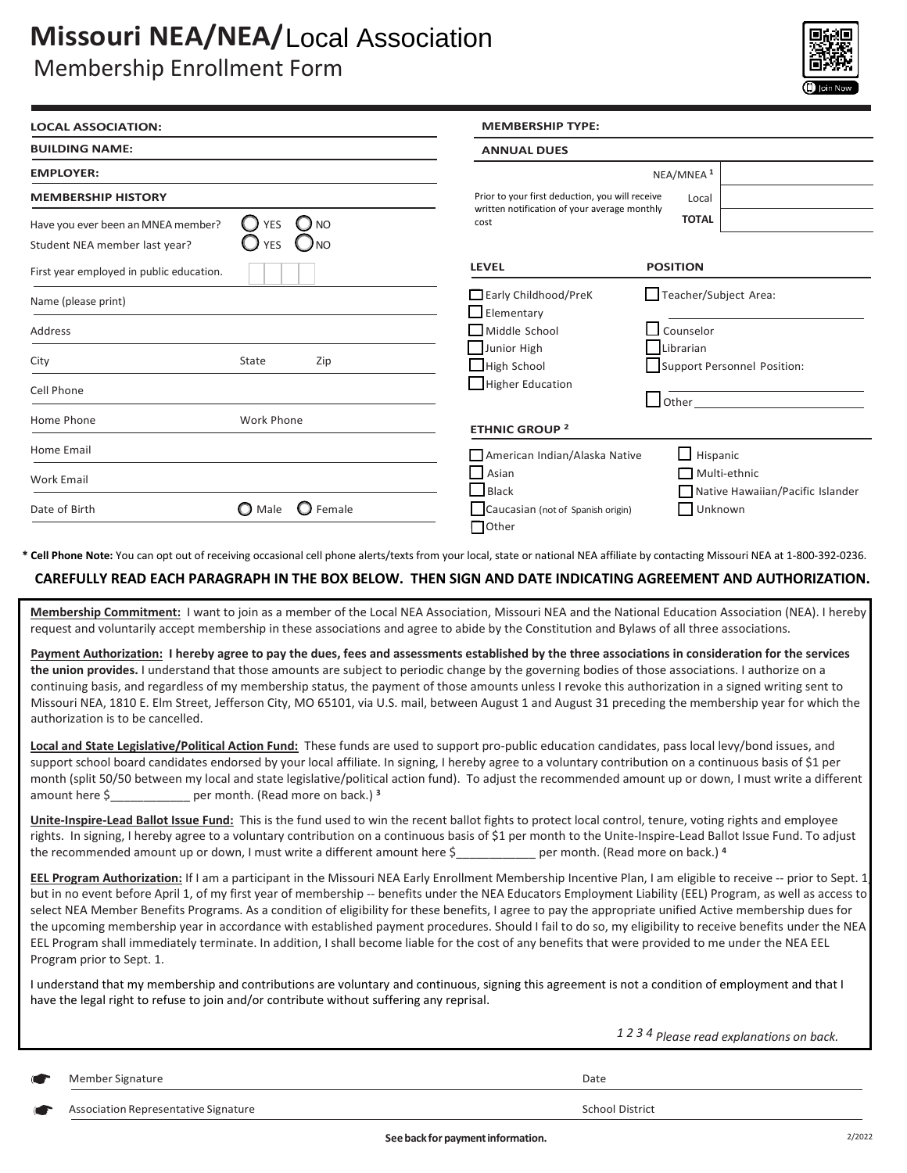# **Missouri NEA/NEA/Local Association** Local Association

# Membership Enrollment Form



| <b>LOCAL ASSOCIATION:</b>                                           |                                                    | <b>MEMBERSHIP TYPE:</b>                              |                       |                                  |
|---------------------------------------------------------------------|----------------------------------------------------|------------------------------------------------------|-----------------------|----------------------------------|
| <b>BUILDING NAME:</b><br><b>EMPLOYER:</b>                           |                                                    | <b>ANNUAL DUES</b>                                   |                       |                                  |
|                                                                     |                                                    | NEA/MNEA <sup>1</sup>                                |                       |                                  |
| <b>MEMBERSHIP HISTORY</b>                                           |                                                    | Prior to your first deduction, you will receive      | Local                 |                                  |
| Have you ever been an MNEA member?<br>Student NEA member last year? | <b>NO</b><br>O<br><b>YES</b><br>) NO<br><b>YES</b> | written notification of your average monthly<br>cost | <b>TOTAL</b>          |                                  |
| First year employed in public education.                            |                                                    | <b>LEVEL</b>                                         | <b>POSITION</b>       |                                  |
| Name (please print)                                                 |                                                    | $\Box$ Early Childhood/PreK<br>$\Box$ Elementary     | Teacher/Subject Area: |                                  |
| Address                                                             |                                                    | Middle School                                        | Counselor             |                                  |
| City                                                                | <b>State</b><br>Zip                                | Junior High<br>$\Box$ High School                    | Librarian             | Support Personnel Position:      |
| Cell Phone                                                          |                                                    | Higher Education                                     | $\Box$ Other          |                                  |
| Home Phone                                                          | Work Phone                                         | <b>ETHNIC GROUP 2</b>                                |                       |                                  |
| Home Email                                                          |                                                    | American Indian/Alaska Native                        | $\Box$ Hispanic       |                                  |
| <b>Work Email</b>                                                   |                                                    | $\Box$ Asian<br>$\Box$ Black                         | Multi-ethnic          | Native Hawaiian/Pacific Islander |
| Date of Birth                                                       | $\mathbf \Omega$ Male<br>( )<br>Female             | Caucasian (not of Spanish origin)<br>$\Box$ Other    | Unknown               |                                  |

**\* Cell Phone Note:** You can opt out of receiving occasional cell phone alerts/texts from your local, state or national NEA affiliate by contacting Missouri NEA at 1-800-392-0236.

## **CAREFULLY READ EACH PARAGRAPH IN THE BOX BELOW. THEN SIGN AND DATE INDICATING AGREEMENT AND AUTHORIZATION.**

**Membership Commitment:** I want to join as a member of the Local NEA Association, Missouri NEA and the National Education Association (NEA). I hereby request and voluntarily accept membership in these associations and agree to abide by the Constitution and Bylaws of all three associations.

**Payment Authorization: I hereby agree to pay the dues, fees and assessments established by the three associations in consideration for the services the union provides.** I understand that those amounts are subject to periodic change by the governing bodies of those associations. I authorize on a continuing basis, and regardless of my membership status, the payment of those amounts unless I revoke this authorization in a signed writing sent to Missouri NEA, 1810 E. Elm Street, Jefferson City, MO 65101, via U.S. mail, between August 1 and August 31 preceding the membership year for which the authorization is to be cancelled.

**Local and State Legislative/Political Action Fund:** These funds are used to support pro-public education candidates, pass local levy/bond issues, and support school board candidates endorsed by your local affiliate. In signing, I hereby agree to a voluntary contribution on a continuous basis of \$1 per month (split 50/50 between my local and state legislative/political action fund). To adjust the recommended amount up or down, I must write a different amount here \$\_\_\_\_\_\_\_\_\_\_\_\_ per month. (Read more on back.) **<sup>3</sup>**

**Unite-Inspire-Lead Ballot Issue Fund:** This is the fund used to win the recent ballot fights to protect local control, tenure, voting rights and employee rights. In signing, I hereby agree to a voluntary contribution on a continuous basis of \$1 per month to the Unite-Inspire-Lead Ballot Issue Fund. To adjust the recommended amount up or down, I must write a different amount here \$ per month. (Read more on back.) <sup>4</sup>

**EEL Program Authorization:** If I am a participant in the Missouri NEA Early Enrollment Membership Incentive Plan, I am eligible to receive -- prior to Sept. 1, but in no event before April 1, of my first year of membership -- benefits under the NEA Educators Employment Liability (EEL) Program, as well as access to select NEA Member Benefits Programs. As a condition of eligibility for these benefits, I agree to pay the appropriate unified Active membership dues for the upcoming membership year in accordance with established payment procedures. Should I fail to do so, my eligibility to receive benefits under the NEA EEL Program shall immediately terminate. In addition, I shall become liable for the cost of any benefits that were provided to me under the NEA EEL Program prior to Sept. 1.

I understand that my membership and contributions are voluntary and continuous, signing this agreement is not a condition of employment and that I have the legal right to refuse to join and/or contribute without suffering any reprisal.

*1 2 3 4 Please read explanations on back.*

| ×<br>۰. |  |
|---------|--|
|         |  |

Member Signature Date of the United States of the United States of the Date of the Date of the Date of the Date Association Representative Signature **School District** School District

**Seebackfor paymentinformation.** 2/2022